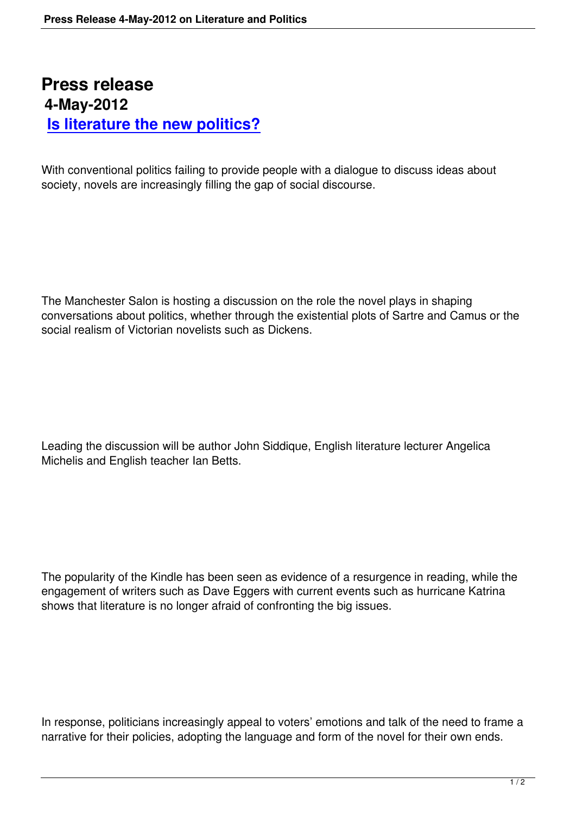## **Press release 4-May-2012 Is literature the new politics?**

[With conventional politics failing to provide](is-literature-the-new-politics.html) people with a dialogue to discuss ideas about society, novels are increasingly filling the gap of social discourse.

The Manchester Salon is hosting a discussion on the role the novel plays in shaping conversations about politics, whether through the existential plots of Sartre and Camus or the social realism of Victorian novelists such as Dickens.

Leading the discussion will be author John Siddique, English literature lecturer Angelica Michelis and English teacher Ian Betts.

The popularity of the Kindle has been seen as evidence of a resurgence in reading, while the engagement of writers such as Dave Eggers with current events such as hurricane Katrina shows that literature is no longer afraid of confronting the big issues.

In response, politicians increasingly appeal to voters' emotions and talk of the need to frame a narrative for their policies, adopting the language and form of the novel for their own ends.